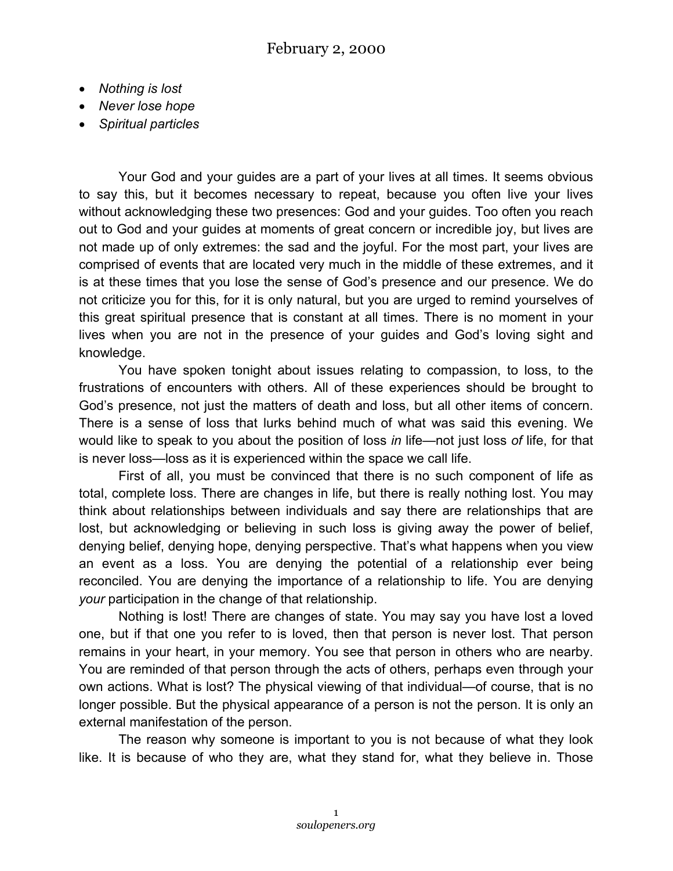- *Nothing is lost*
- *Never lose hope*
- *Spiritual particles*

Your God and your guides are a part of your lives at all times. It seems obvious to say this, but it becomes necessary to repeat, because you often live your lives without acknowledging these two presences: God and your guides. Too often you reach out to God and your guides at moments of great concern or incredible joy, but lives are not made up of only extremes: the sad and the joyful. For the most part, your lives are comprised of events that are located very much in the middle of these extremes, and it is at these times that you lose the sense of God's presence and our presence. We do not criticize you for this, for it is only natural, but you are urged to remind yourselves of this great spiritual presence that is constant at all times. There is no moment in your lives when you are not in the presence of your guides and God's loving sight and knowledge.

You have spoken tonight about issues relating to compassion, to loss, to the frustrations of encounters with others. All of these experiences should be brought to God's presence, not just the matters of death and loss, but all other items of concern. There is a sense of loss that lurks behind much of what was said this evening. We would like to speak to you about the position of loss *in* life—not just loss *of* life, for that is never loss—loss as it is experienced within the space we call life.

First of all, you must be convinced that there is no such component of life as total, complete loss. There are changes in life, but there is really nothing lost. You may think about relationships between individuals and say there are relationships that are lost, but acknowledging or believing in such loss is giving away the power of belief, denying belief, denying hope, denying perspective. That's what happens when you view an event as a loss. You are denying the potential of a relationship ever being reconciled. You are denying the importance of a relationship to life. You are denying *your* participation in the change of that relationship.

Nothing is lost! There are changes of state. You may say you have lost a loved one, but if that one you refer to is loved, then that person is never lost. That person remains in your heart, in your memory. You see that person in others who are nearby. You are reminded of that person through the acts of others, perhaps even through your own actions. What is lost? The physical viewing of that individual—of course, that is no longer possible. But the physical appearance of a person is not the person. It is only an external manifestation of the person.

The reason why someone is important to you is not because of what they look like. It is because of who they are, what they stand for, what they believe in. Those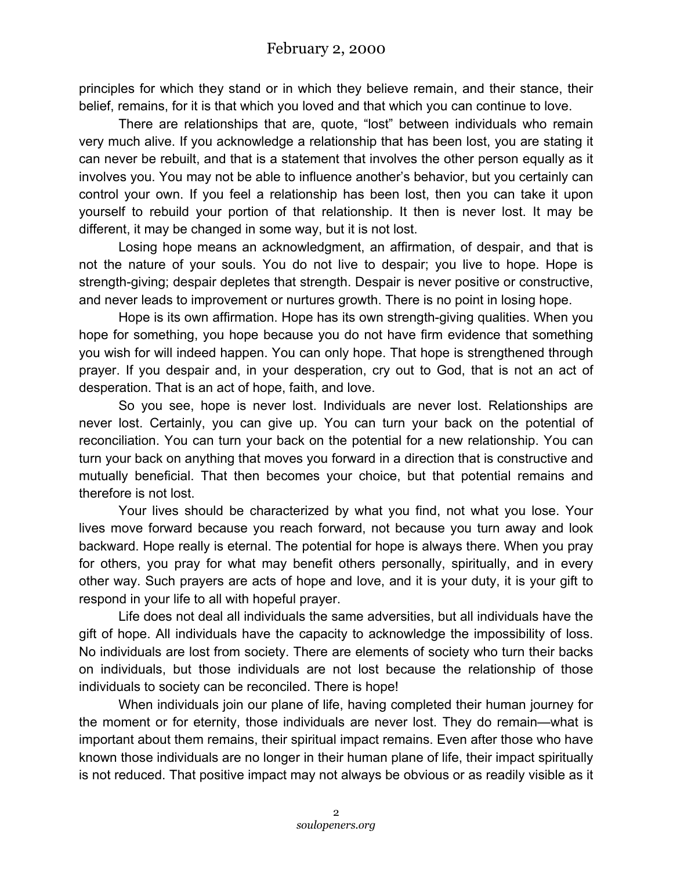principles for which they stand or in which they believe remain, and their stance, their belief, remains, for it is that which you loved and that which you can continue to love.

There are relationships that are, quote, "lost" between individuals who remain very much alive. If you acknowledge a relationship that has been lost, you are stating it can never be rebuilt, and that is a statement that involves the other person equally as it involves you. You may not be able to influence another's behavior, but you certainly can control your own. If you feel a relationship has been lost, then you can take it upon yourself to rebuild your portion of that relationship. It then is never lost. It may be different, it may be changed in some way, but it is not lost.

Losing hope means an acknowledgment, an affirmation, of despair, and that is not the nature of your souls. You do not live to despair; you live to hope. Hope is strength-giving; despair depletes that strength. Despair is never positive or constructive, and never leads to improvement or nurtures growth. There is no point in losing hope.

Hope is its own affirmation. Hope has its own strength-giving qualities. When you hope for something, you hope because you do not have firm evidence that something you wish for will indeed happen. You can only hope. That hope is strengthened through prayer. If you despair and, in your desperation, cry out to God, that is not an act of desperation. That is an act of hope, faith, and love.

So you see, hope is never lost. Individuals are never lost. Relationships are never lost. Certainly, you can give up. You can turn your back on the potential of reconciliation. You can turn your back on the potential for a new relationship. You can turn your back on anything that moves you forward in a direction that is constructive and mutually beneficial. That then becomes your choice, but that potential remains and therefore is not lost.

Your lives should be characterized by what you find, not what you lose. Your lives move forward because you reach forward, not because you turn away and look backward. Hope really is eternal. The potential for hope is always there. When you pray for others, you pray for what may benefit others personally, spiritually, and in every other way. Such prayers are acts of hope and love, and it is your duty, it is your gift to respond in your life to all with hopeful prayer.

Life does not deal all individuals the same adversities, but all individuals have the gift of hope. All individuals have the capacity to acknowledge the impossibility of loss. No individuals are lost from society. There are elements of society who turn their backs on individuals, but those individuals are not lost because the relationship of those individuals to society can be reconciled. There is hope!

When individuals join our plane of life, having completed their human journey for the moment or for eternity, those individuals are never lost. They do remain—what is important about them remains, their spiritual impact remains. Even after those who have known those individuals are no longer in their human plane of life, their impact spiritually is not reduced. That positive impact may not always be obvious or as readily visible as it